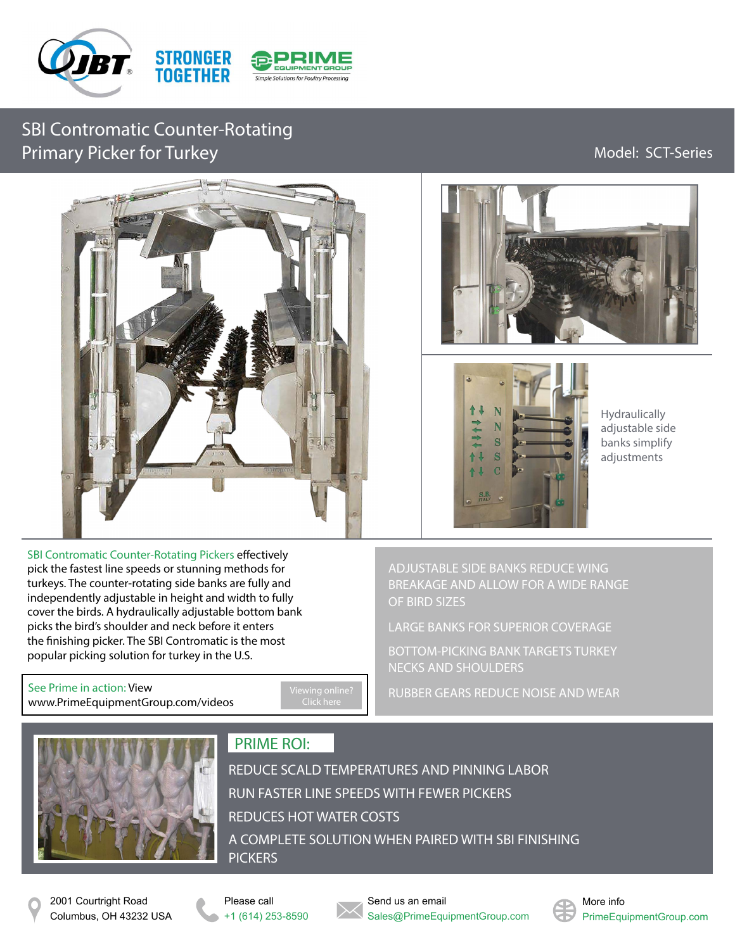

SBI Contromatic Counter-Rotating Primary Picker for Turkey **Model: SCT-Series** Model: SCT-Series



SBI Contromatic Counter-Rotating Pickers effectively pick the fastest line speeds or stunning methods for turkeys. The counter-rotating side banks are fully and independently adjustable in height and width to fully cover the birds. A hydraulically adjustable bottom bank picks the bird's shoulder and neck before it enters the finishing picker. The SBI Contromatic is the most popular picking solution for turkey in the U.S.

See Prime in action: View [www.PrimeEquipmentGroup.com/videos](http://www.primeequipmentgroup.com/videos)





Hydraulically adjustable side banks simplify adjustments

ADJUSTABLE SIDE BANKS REDUCE WING BREAKAGE AND ALLOW FOR A WIDE RANGE OF BIRD SIZES

LARGE BANKS FOR SUPERIOR COVERAGE

BOTTOM-PICKING BANK TARGETS TURKEY NECKS AND SHOULDERS

RUBBER GEARS REDUCE NOISE AND WEAR



## PRIME ROI:

REDUCE SCALD TEMPERATURES AND PINNING LABOR RUN FASTER LINE SPEEDS WITH FEWER PICKERS REDUCES HOT WATER COSTS A COMPLETE SOLUTION WHEN PAIRED WITH SBI FINISHING **PICKERS** 

2001 Courtright Road Columbus, OH 43232 USA



Send us an email Sales@PrimeEquipmentGroup.com